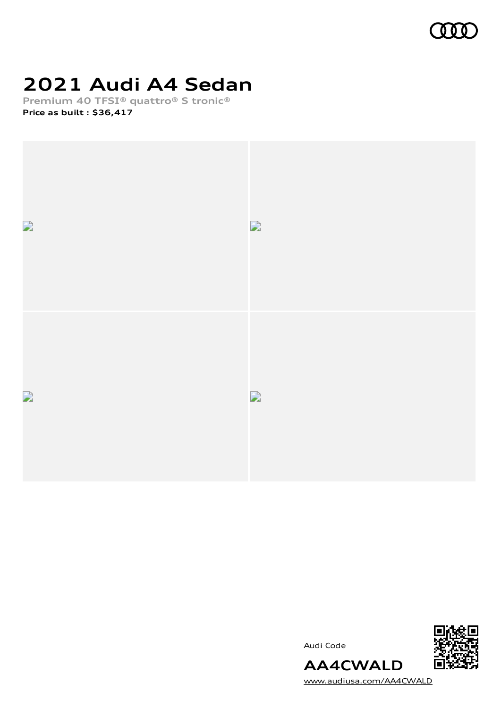

# **2021 Audi A4 Sedan**

**Premium 40 TFSI® quattro® S tronic® Price as built [:](#page-10-0) \$36,417**



Audi Code



[www.audiusa.com/AA4CWALD](https://www.audiusa.com/AA4CWALD)

**AA4CWALD**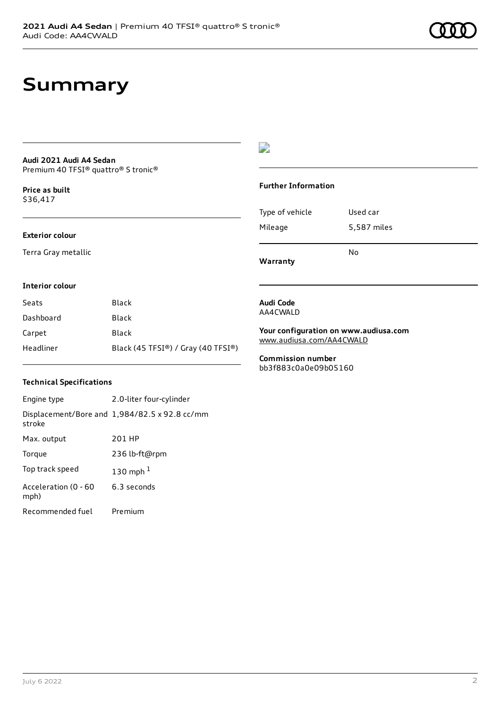# **Summary**

#### **Audi 2021 Audi A4 Sedan** Premium 40 TFSI® quattro® S tronic®

**Price as buil[t](#page-10-0)** \$36,417

#### **Exterior colour**

Terra Gray metallic

# $\overline{\phantom{a}}$

### **Further Information**

|                 | N٥          |
|-----------------|-------------|
| Mileage         | 5,587 miles |
| Type of vehicle | Used car    |

**Warranty**

#### **Interior colour**

| Seats     | Black                              |
|-----------|------------------------------------|
| Dashboard | Black                              |
| Carpet    | Black                              |
| Headliner | Black (45 TFSI®) / Gray (40 TFSI®) |

## **Audi Code** AA4CWALD

**Your configuration on www.audiusa.com** [www.audiusa.com/AA4CWALD](https://www.audiusa.com/AA4CWALD)

**Commission number** bb3f883c0a0e09b05160

### **Technical Specifications**

| Engine type                  | 2.0-liter four-cylinder                       |
|------------------------------|-----------------------------------------------|
| stroke                       | Displacement/Bore and 1,984/82.5 x 92.8 cc/mm |
| Max. output                  | 201 HP                                        |
| Torque                       | 236 lb-ft@rpm                                 |
| Top track speed              | 130 mph $1$                                   |
| Acceleration (0 - 60<br>mph) | 6.3 seconds                                   |
| Recommended fuel             | Premium                                       |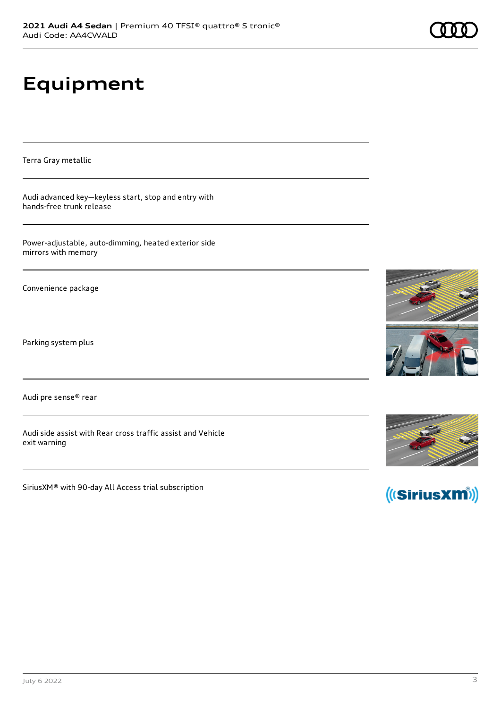# **Equipment**

Terra Gray metallic

Audi advanced key—keyless start, stop and entry with hands-free trunk release

Power-adjustable, auto-dimming, heated exterior side mirrors with memory

Convenience package

Parking system plus

Audi pre sense® rear

Audi side assist with Rear cross traffic assist and Vehicle exit warning

SiriusXM® with 90-day All Access trial subscription









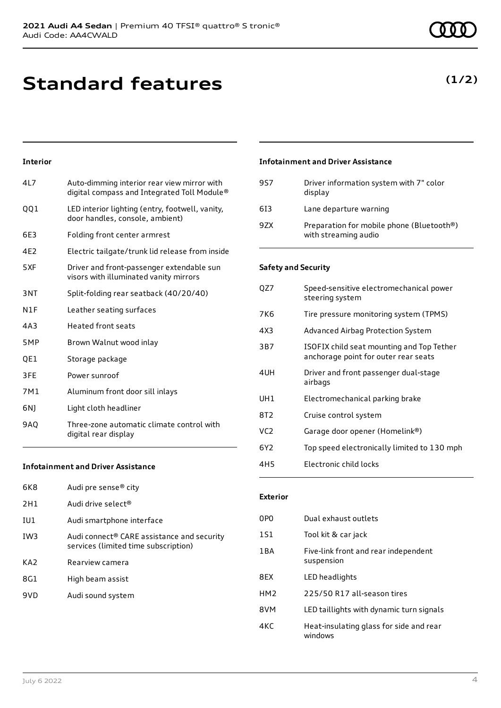**Standard features**

### **Interior**

| 417 | Auto-dimming interior rear view mirror with<br>digital compass and Integrated Toll Module® |
|-----|--------------------------------------------------------------------------------------------|
| QQ1 | LED interior lighting (entry, footwell, vanity,<br>door handles, console, ambient)         |
| 6E3 | Folding front center armrest                                                               |
| 4E2 | Electric tailgate/trunk lid release from inside                                            |
| 5XF | Driver and front-passenger extendable sun<br>visors with illuminated vanity mirrors        |
| 3NT | Split-folding rear seatback (40/20/40)                                                     |
| N1F | Leather seating surfaces                                                                   |
| 4A3 | Heated front seats                                                                         |
| 5MP | Brown Walnut wood inlay                                                                    |
| QE1 | Storage package                                                                            |
| 3FE | Power sunroof                                                                              |
| 7M1 | Aluminum front door sill inlays                                                            |
| 6N) | Light cloth headliner                                                                      |
| 9AO | Three-zone automatic climate control with<br>digital rear display                          |

### **Infotainment and Driver Assistance**

| 6K8             | Audi pre sense <sup>®</sup> city                                                               |
|-----------------|------------------------------------------------------------------------------------------------|
| 2H1             | Audi drive select <sup>®</sup>                                                                 |
| IU1             | Audi smartphone interface                                                                      |
| IW <sub>3</sub> | Audi connect <sup>®</sup> CARE assistance and security<br>services (limited time subscription) |
| KA <sub>2</sub> | Rearview camera                                                                                |
| 8G1             | High beam assist                                                                               |
| 9VD             | Audi sound system                                                                              |
|                 |                                                                                                |

# **Infotainment and Driver Assistance**

| 957 | Driver information system with 7" color<br>display                |
|-----|-------------------------------------------------------------------|
| 613 | Lane departure warning                                            |
| 9ZX | Preparation for mobile phone (Bluetooth®)<br>with streaming audio |

### **Safety and Security**

| QZ7             | Speed-sensitive electromechanical power<br>steering system                        |
|-----------------|-----------------------------------------------------------------------------------|
| 7K6             | Tire pressure monitoring system (TPMS)                                            |
| 4X3             | Advanced Airbag Protection System                                                 |
| 3B7             | ISOFIX child seat mounting and Top Tether<br>anchorage point for outer rear seats |
| 4UH             | Driver and front passenger dual-stage<br>airbags                                  |
| UH1             | Electromechanical parking brake                                                   |
| 8T2             | Cruise control system                                                             |
| VC <sub>2</sub> | Garage door opener (Homelink®)                                                    |
| 6Y2.            | Top speed electronically limited to 130 mph                                       |
| 4H5             | Electronic child locks                                                            |

### **Exterior**

| 0PO              | Dual exhaust outlets                               |
|------------------|----------------------------------------------------|
| 1S1              | Tool kit & car jack                                |
| 1 <sub>B</sub> A | Five-link front and rear independent<br>suspension |
| 8FX              | LED headlights                                     |
| HM <sub>2</sub>  | 225/50 R17 all-season tires                        |
| 8VM              | LED taillights with dynamic turn signals           |
| 4KC              | Heat-insulating glass for side and rear<br>windows |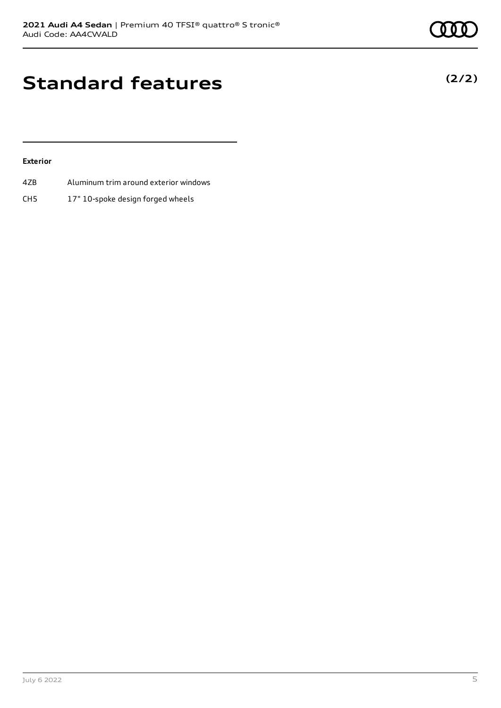**(2/2)**

# **Standard features**

### **Exterior**

- 4ZB Aluminum trim around exterior windows
- CH5 17" 10-spoke design forged wheels

July 6 2022 5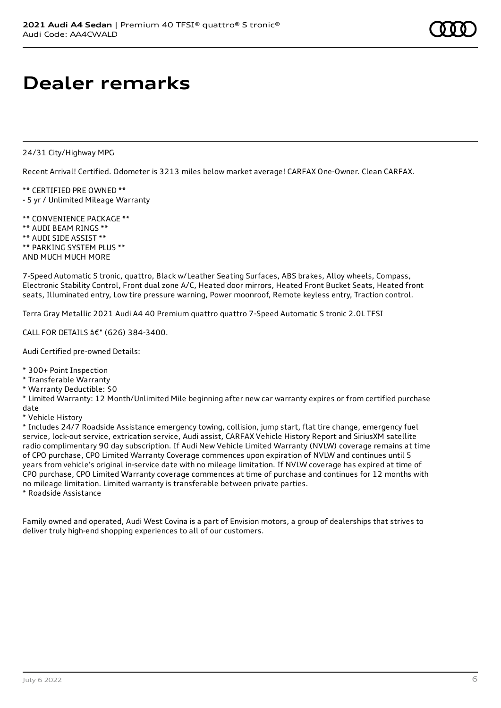# **Dealer remarks**

24/31 City/Highway MPG

Recent Arrival! Certified. Odometer is 3213 miles below market average! CARFAX One-Owner. Clean CARFAX.

\*\* CERTIFIED PRE OWNED \*\* - 5 yr / Unlimited Mileage Warranty

\*\* CONVENIENCE PACKAGE \*\* \*\* AUDI BEAM RINGS \*\* \*\* AUDI SIDE ASSIST \*\* \*\* PARKING SYSTEM PLUS \*\* AND MUCH MUCH MORE

7-Speed Automatic S tronic, quattro, Black w/Leather Seating Surfaces, ABS brakes, Alloy wheels, Compass, Electronic Stability Control, Front dual zone A/C, Heated door mirrors, Heated Front Bucket Seats, Heated front seats, Illuminated entry, Low tire pressure warning, Power moonroof, Remote keyless entry, Traction control.

Terra Gray Metallic 2021 Audi A4 40 Premium quattro quattro 7-Speed Automatic S tronic 2.0L TFSI

CALL FOR DETAILS â€" (626) 384-3400.

Audi Certified pre-owned Details:

- \* 300+ Point Inspection
- \* Transferable Warranty
- \* Warranty Deductible: \$0

\* Limited Warranty: 12 Month/Unlimited Mile beginning after new car warranty expires or from certified purchase date

\* Vehicle History

\* Includes 24/7 Roadside Assistance emergency towing, collision, jump start, flat tire change, emergency fuel service, lock-out service, extrication service, Audi assist, CARFAX Vehicle History Report and SiriusXM satellite radio complimentary 90 day subscription. If Audi New Vehicle Limited Warranty (NVLW) coverage remains at time of CPO purchase, CPO Limited Warranty Coverage commences upon expiration of NVLW and continues until 5 years from vehicle's original in-service date with no mileage limitation. If NVLW coverage has expired at time of CPO purchase, CPO Limited Warranty coverage commences at time of purchase and continues for 12 months with no mileage limitation. Limited warranty is transferable between private parties.

\* Roadside Assistance

Family owned and operated, Audi West Covina is a part of Envision motors, a group of dealerships that strives to deliver truly high-end shopping experiences to all of our customers.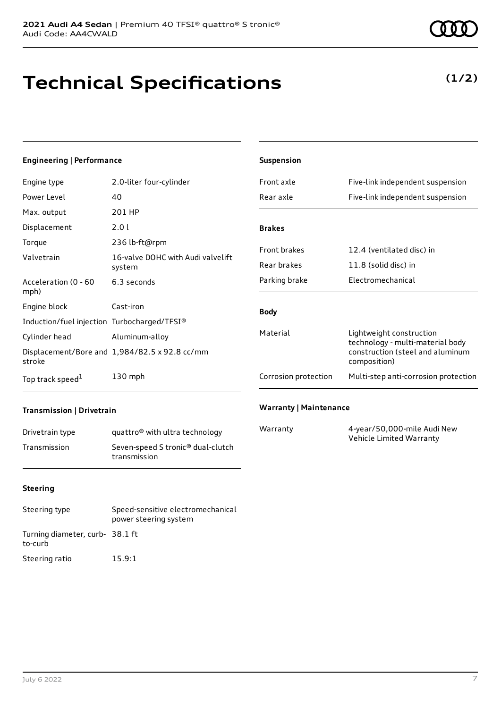#### **Engineering | Performance**

| Engine type                                 | 2.0-liter four-cylinder                       |
|---------------------------------------------|-----------------------------------------------|
| Power Level                                 | 40                                            |
| Max. output                                 | 201 HP                                        |
| Displacement                                | 2.0 l                                         |
| Torque                                      | 236 lb-ft@rpm                                 |
| Valvetrain                                  | 16-valve DOHC with Audi valvelift<br>system   |
| Acceleration (0 - 60<br>mph)                | 6.3 seconds                                   |
| Engine block                                | Cast-iron                                     |
| Induction/fuel injection Turbocharged/TFSI® |                                               |
| Cylinder head                               | Aluminum-alloy                                |
| stroke                                      | Displacement/Bore and 1,984/82.5 x 92.8 cc/mm |
| Top track speed <sup>1</sup>                | $130$ mph                                     |

| econds              | Parking brake        | Electromechanical                                            |
|---------------------|----------------------|--------------------------------------------------------------|
| iron.               | <b>Body</b>          |                                                              |
| ocharged/TFSI®      |                      |                                                              |
| ninum-alloy         | Material             | Lightweight construction<br>technology - multi-material body |
| 4/82.5 x 92.8 cc/mm |                      | construction (steel and aluminum<br>composition)             |
| mph                 | Corrosion protection | Multi-step anti-corrosion protection                         |
|                     |                      |                                                              |

**Suspension**

**Brakes**

### **Transmission | Drivetrain**

| Drivetrain type | quattro <sup>®</sup> with ultra technology                    |
|-----------------|---------------------------------------------------------------|
| Transmission    | Seven-speed S tronic <sup>®</sup> dual-clutch<br>transmission |

#### **Steering**

| Steering type                              | Speed-sensitive electromechanical<br>power steering system |
|--------------------------------------------|------------------------------------------------------------|
| Turning diameter, curb- 38.1 ft<br>to-curb |                                                            |
| Steering ratio                             | 15.9:1                                                     |

**Technical Specifications**

# **(1/2)**

### **Warranty | Maintenance**

| Warranty | 4-year/50,000-mile Audi New |
|----------|-----------------------------|
|          | Vehicle Limited Warranty    |

Front axle Five-link independent suspension Rear axle Five-link independent suspension

Front brakes 12.4 (ventilated disc) in

Rear brakes 11.8 (solid disc) in

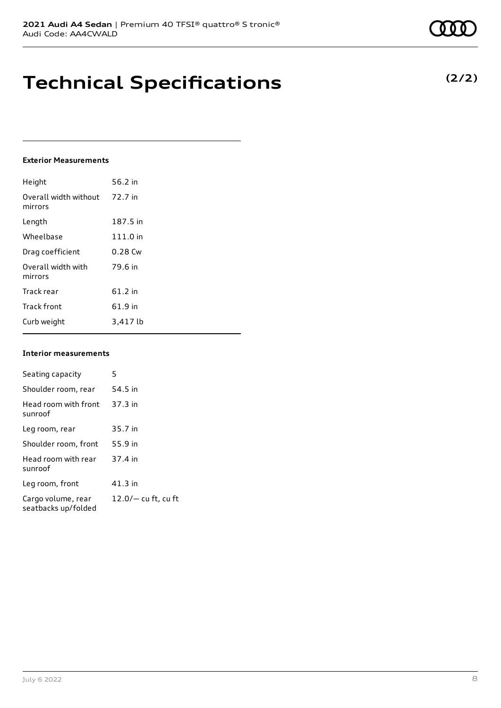# **Technical Specifications**

#### **Exterior Measurements**

| Height                           | 56.2 in   |
|----------------------------------|-----------|
| Overall width without<br>mirrors | 72.7 in   |
| Length                           | 187.5 in  |
| Wheelbase                        | 111.0 in  |
| Drag coefficient                 | $0.28$ Cw |
| Overall width with<br>mirrors    | 79.6 in   |
| Track rear                       | 61.2 in   |
| <b>Track front</b>               | 61.9 in   |
| Curb weight                      | 3,417 lb  |

#### **Interior measurements**

| Seating capacity                          | 5                     |
|-------------------------------------------|-----------------------|
| Shoulder room, rear                       | 54.5 in               |
| Head room with front<br>sunroof           | 37.3 in               |
| Leg room, rear                            | 35.7 in               |
| Shoulder room, front                      | 55.9 in               |
| Head room with rear<br>sunroof            | 37.4 in               |
| Leg room, front                           | $41.3$ in             |
| Cargo volume, rear<br>seatbacks up/folded | $12.0/-$ cu ft, cu ft |

**(2/2)**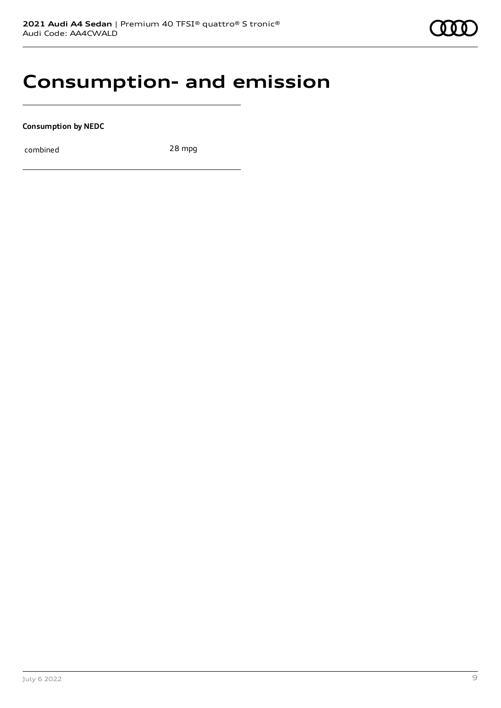

# **Consumption- and emission**

**Consumption by NEDC**

combined 28 mpg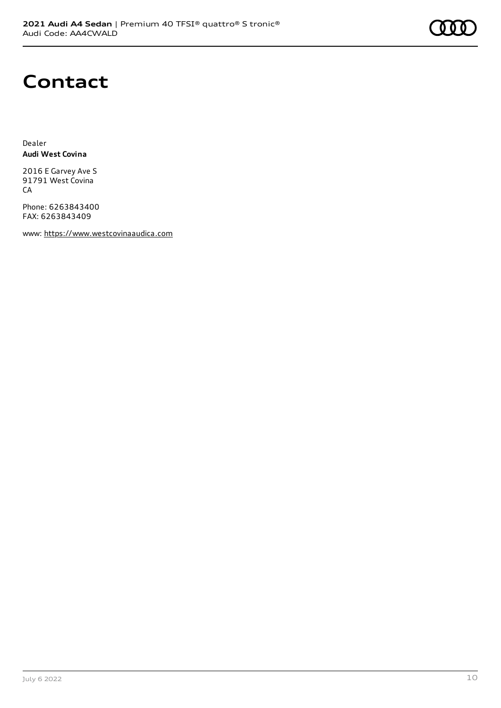

# **Contact**

Dealer **Audi West Covina**

2016 E Garvey Ave S 91791 West Covina CA

Phone: 6263843400 FAX: 6263843409

www: [https://www.westcovinaaudica.com](https://www.westcovinaaudica.com/)